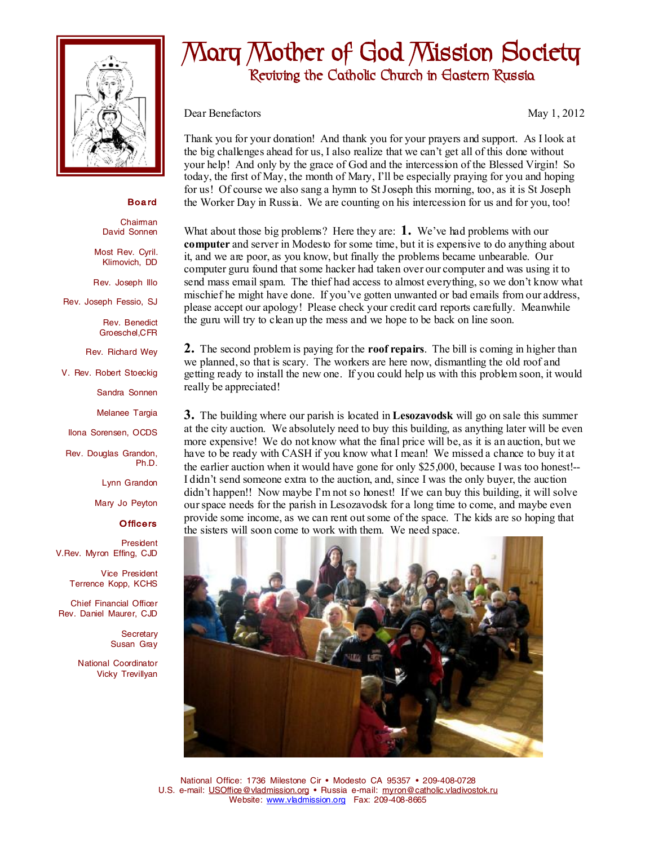

## **Mary Mother of God Mission Society Reviving the Catholic Church in Eastern Russia**

Dear Benefactors May 1, 2012

Thank you for your donation! And thank you for your prayers and support. As I look at the big challenges ahead for us, I also realize that we can't get all of this done without your help! And only by the grace of God and the intercession of the Blessed Virgin! So today, the first of May, the month of Mary, I'll be especially praying for you and hoping for us! Of course we also sang a hymn to StJoseph this morning, too, as it is St Joseph the Worker Day in Russia. We are counting on his intercession for us and for you, too!

What about those big problems? Here they are: **1.** We've had problems with our **computer** and server in Modesto for some time, but it is expensive to do anything about it, and we are poor, as you know, but finally the problems became unbearable. Our computer guru found that some hacker had taken over our computer and was using it to send mass email spam. The thief had access to almost everything, so we don't know what mischief he might have done. If you've gotten unwanted or bad emails from our address, please accept our apology! Please check your credit card reports carefully. Meanwhile the guru will try to clean up the mess and we hope to be back on line soon.

**2.** The second problem is paying for the **roof repairs**. The bill is coming in higher than we planned, so that is scary. The workers are here now, dismantling the old roof and getting ready to install the new one. If you could help us with this problem soon, it would really be appreciated!

**3.** The building where our parish is located in **Lesozavodsk** will go on sale this summer at the city auction. We absolutely need to buy this building, as anything later will be even more expensive! We do not know what the final price will be, as it is an auction, but we have to be ready with CASH if you know what I mean! We missed a chance to buy it at the earlier auction when it would have gone for only \$25,000, because I was too honest!-- I didn't send someone extra to the auction, and, since I was the only buyer, the auction didn't happen!! Now maybe I'm not so honest! If we can buy this building, it will solve ourspace needs for the parish in Lesozavodsk for a long time to come, and maybe even provide some income, as we can rent outsome of the space. The kids are so hoping that the sisters will soon come to work with them. We need space.



National Office: 1736 Milestone Cir • Modesto CA 95357 • 209-408-0728 U.S. e-mail: [USOffice@vladmission.org](mailto:USOffice@vladmission.org) • Russia e-mail: [myron@catholic.vladivostok.ru](mailto:myron@catholic.vladivostok.ru) Website: [www.vladmission.org](http://www.vladmission.org) Fax: 209-408-8665

**Boa rd** 

Chairman David Sonnen

Most Rev. Cyril. Klimovich, DD

Rev. Joseph Illo

Rev. Joseph Fessio, SJ

Rev. Benedict Groeschel,CFR

Rev. Richard Wey

V. Rev. Robert Stoeckig

Sandra Sonnen

Melanee Targia

Ilona Sorensen, OCDS

Rev. Douglas Grandon, Ph.D.

Lynn Grandon

Mary Jo Peyton

## **Officers**

President V.Rev. Myron Effing, CJD

> Vice President Terrence Kopp, KCHS

Chief Financial Officer Rev. Daniel Maurer, CJD

> **Secretary** Susan Gray

National Coordinator Vicky Trevillyan